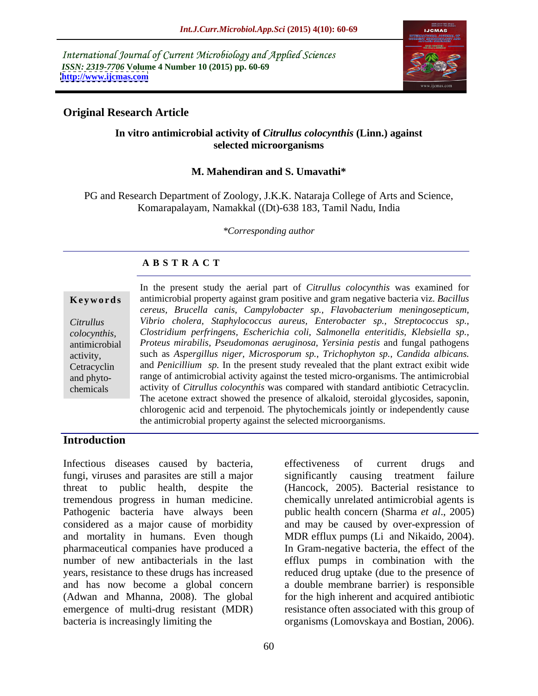International Journal of Current Microbiology and Applied Sciences *ISSN: 2319-7706* **Volume 4 Number 10 (2015) pp. 60-69 <http://www.ijcmas.com>**



# **Original Research Article**

## **In vitro antimicrobial activity of** *Citrullus colocynthis* **(Linn.) against selected microorganisms**

## **M. Mahendiran and S. Umavathi\***

PG and Research Department of Zoology, J.K.K. Nataraja College of Arts and Science, Komarapalayam, Namakkal ((Dt)-638 183, Tamil Nadu, India

*\*Corresponding author*

## **A B S T R A C T**

chemicals

In the present study the aerial part of *Citrullus colocynthis* was examined for antimicrobial property against gram positive and gram negative bacteria viz. *Bacillus*  **Ke ywo rds** *cereus, Brucella canis, Campylobacter sp., Flavobacterium meningosepticum, Vibrio cholera, Staphylococcus aureus, Enterobacter sp., Streptococcus sp., Citrullus Clostridium perfringens, Escherichia coli, Salmonella enteritidis, Klebsiella sp., colocynthis, Proteus mirabilis, Pseudomonas aeruginosa, Yersinia pestis* and fungal pathogens antimicrobial such as *Aspergillus niger, Microsporum sp., Trichophyton sp., Candida albicans.* activity, and *Penicillium sp.* In the present study revealed that the plant extract exibit wide Cetracyclin range of antimicrobial activity against the tested micro-organisms. The antimicrobial and phyto activity of *Citrullus colocynthis* was compared with standard antibiotic Cetracyclin. The acetone extract showed the presence of alkaloid, steroidal glycosides, saponin, chlorogenic acid and terpenoid. The phytochemicals jointly or independently cause the antimicrobial property against the selected microorganisms.

# **Introduction**

Infectious diseases caused by bacteria, effectiveness of current drugs and fungi, viruses and parasites are still a major threat to public health, despite the (Hancock, 2005). Bacterial resistance to tremendous progress in human medicine. chemically unrelated antimicrobial agents is Pathogenic bacteria have always been public health concern (Sharma *et al*., 2005) considered as a major cause of morbidity and may be caused by over-expression of and mortality in humans. Even though MDR efflux pumps (Li and Nikaido, 2004). pharmaceutical companies have produced a In Gram-negative bacteria, the effect of the number of new antibacterials in the last efflux pumps in combination with the years, resistance to these drugs has increased reduced drug uptake (due to the presence of and has now become a global concern a double membrane barrier) is responsible (Adwan and Mhanna, 2008). The global for the high inherent and acquired antibiotic emergence of multi-drug resistant (MDR) resistance often associated with this group of bacteria is increasingly limiting the organisms (Lomovskaya and Bostian, 2006).

effectiveness of current drugs and causing treatment failure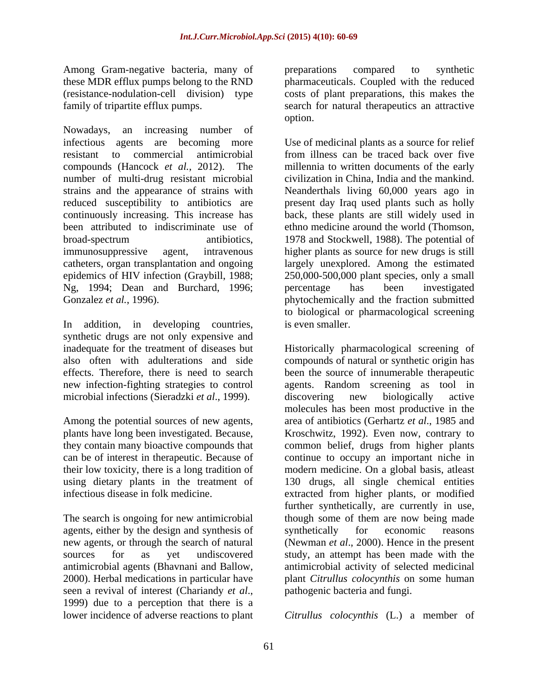Among Gram-negative bacteria, many of preparations compared to synthetic

Nowadays, an increasing number of infectious agents are becoming more Use of medicinal plants as a source for relief resistant to commercial antimicrobial from illness can be traced back over five compounds (Hancock *et al.*, 2012). The millennia to written documents of the early number of multi-drug resistant microbial strains and the appearance of strains with Neanderthals living 60,000 years ago in reduced susceptibility to antibiotics are present day Iraq used plants such as holly continuously increasing. This increase has back, these plants are still widely used in been attributed to indiscriminate use of ethno medicine around the world (Thomson, broad-spectrum antibiotics, 1978 and Stockwell, 1988). The potential of immunosuppressive agent, intravenous higher plants as source for new drugs is still catheters, organ transplantation and ongoing largely unexplored. Among the estimated epidemics of HIV infection (Graybill, 1988; 250,000-500,000 plant species, only a small Ng, 1994; Dean and Burchard, 1996; percentage has been investigated Gonzalez et al. 1996). Gonzalez *et al.*, 1996). The phytochemically and the fraction submitted

In addition, in developing countries, synthetic drugs are not only expensive and microbial infections (Sieradzki *et al*., 1999).

The search is ongoing for new antimicrobial agents, either by the design and synthesis of synthetically for economic reasons new agents, or through the search of natural (Newman *et al.*, 2000). Hence in the present 2000). Herbal medications in particular have seen a revival of interest (Chariandy *et al.*, pathogenic bacteria and fungi.<br>1999) due to a perception that there is a lower incidence of adverse reactions to plant *Citrullus colocynthis* (L.) a member of

these MDR efflux pumps belong to the RND pharmaceuticals. Coupled with the reduced (resistance-nodulation-cell division) type costs of plant preparations, this makes the family of tripartite efflux pumps. search for natural therapeutics an attractive preparations compared to synthetic option.

> civilization in China, India and the mankind. percentage has been investigated to biological or pharmacological screening is even smaller.

inadequate for the treatment of diseases but Historically pharmacological screening of also often with adulterations and side compounds of natural or synthetic origin has effects. Therefore, there is need to search been the source of innumerable therapeutic new infection-fighting strategies to control agents. Random screening as tool in Among the potential sources of new agents, area of antibiotics (Gerhartz *et al*., 1985 and plants have long been investigated. Because, Kroschwitz, 1992). Even now, contrary to they contain many bioactive compounds that common belief, drugs from higher plants can be of interest in therapeutic. Because of continue to occupy an important niche in their low toxicity, there is a long tradition of modern medicine. On a global basis, atleast using dietary plants in the treatment of 130 drugs, all single chemical entities infectious disease in folk medicine. extracted from higher plants, or modified new agents, or through the search of natural (Newman *et al*., 2000). Hence in the present sources for as yet undiscovered study, an attempt has been made with the antimicrobial agents (Bhavnani and Ballow, antimicrobial activity of selected medicinal discovering new biologically active molecules has been most productive in the further synthetically, are currently in use, though some of them are now being made synthetically for economic reasons plant *Citrullus colocynthis* on some human pathogenic bacteria and fungi.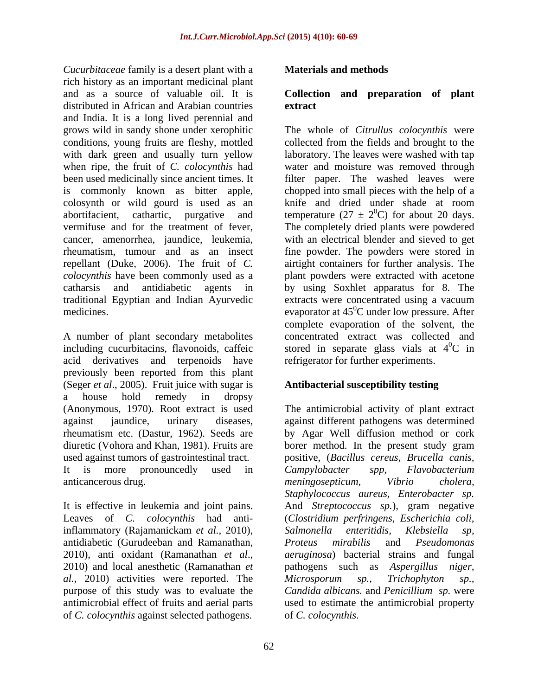*Cucurbitaceae* family is a desert plant with a rich history as an important medicinal plant<br>and as a source of valuable oil. It is and as a source of valuable oil. It is **Collection and preparation of plant** distributed in African and Arabian countries extract and India. It is a long lived perennial and when ripe, the fruit of *C. colocynthis* had colosynth or wild gourd is used as an abortifacient, cathartic, purgative and traditional Egyptian and Indian Ayurvedic

A number of plant secondary metabolites acid derivatives and terpenoids have previously been reported from this plant (Seger *et al*., 2005). Fruit juice with sugar is a house hold remedy in dropsy (Anonymous, 1970). Root extract is used The antimicrobial activity of plant extract against jaundice, urinary diseases, against different pathogens was determined rheumatism etc. (Dastur, 1962). Seeds are by Agar Well diffusion method or cork diuretic (Vohora and Khan, 1981). Fruits are borer method. In the present study gram used against tumors of gastrointestinal tract. It is more pronouncedly used in Campylobacter spp, Flavobacterium

inflammatory (Rajamanickam *et al.,* 2010), antidiabetic (Gurudeeban and Ramanathan, *al.,* 2010) activities were reported. The of *C. colocynthis* against selected pathogens.

## **Materials and methods**

# **extract**

grows wild in sandy shone under xerophitic The whole of *Citrullus colocynthis* were conditions, young fruits are fleshy, mottled collected from the fields and brought to the with dark green and usually turn yellow laboratory. The leaves were washed with tap been used medicinally since ancient times. It filter paper. The washed leaves were is commonly known as bitter apple, chopped into small pieces with the help of a vermifuse and for the treatment of fever, The completely dried plants were powdered cancer, amenorrhea, jaundice, leukemia, with an electrical blender and sieved to get rheumatism, tumour and as an insect fine powder. The powders were stored in repellant (Duke, 2006). The fruit of *C.*  airtight containers for further analysis. The *colocynthis* have been commonly used as a plant powders were extracted with acetone catharsis and antidiabetic agents in by using Soxhlet apparatus for 8. The medicines. The evaporator at 45<sup>0</sup>C under low pressure. After including cucurbitacins, flavonoids, caffeic stored in separate glass vials at  $4^{\circ}C$  in water and moisture was removed through knife and dried under shade at room temperature (27  $\pm$  2<sup>0</sup>C) for about 20 days.  $^{0}$ C) for about 20 days. extracts were concentrated using a vacuum complete evaporation of the solvent, the concentrated extract was collected and  ${}^{0}C$  in refrigerator for further experiments.

## **Antibacterial susceptibility testing**

anticancerous drug. The meningosepticum, and the vibrio cholera, the vibrious drug. It is effective in leukemia and joint pains. And *Streptococcus sp.*), gram negative Leaves of *C. colocynthis* had anti-(*Clostridium perfringens*, *Escherichia coli,* 2010), anti oxidant (Ramanathan *et al*., 2010) and local anesthetic (Ramanathan *et*  purpose of this study was to evaluate the *Candida albicans.* and *Penicillium sp.* were antimicrobial effect of fruits and aerial parts used to estimate the antimicrobial property positive, (*Bacillus cereus, Brucella canis, Campylobacter spp, Flavobacterium meningosepticum, Vibrio cholera, Staphylococcus aureus, Enterobacter sp. Salmonella enteritidis, Klebsiella sp, Proteus mirabilis*and *Pseudomonas aeruginosa*) bacterial strains and fungal pathogens such as *Aspergillus niger, Microsporum sp., Trichophyton sp.,* of *C. colocynthis.*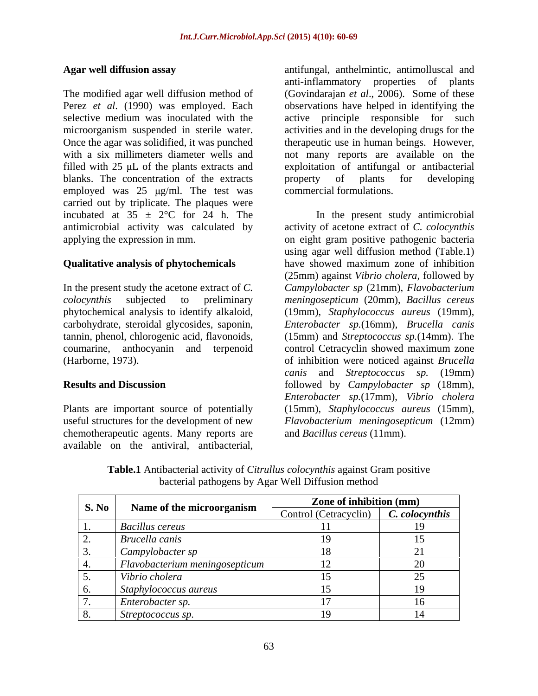The modified agar well diffusion method of (Govindarajan *et al*., 2006). Some of these Perez *et al*. (1990) was employed. Each observations have helped in identifying the selective medium was inoculated with the active principle responsible for such microorganism suspended in sterile water. activities and in the developing drugs for the Once the agar was solidified, it was punched therapeutic use in human beings. However, with a six millimeters diameter wells and not many reports are available on the filled with 25 µL of the plants extracts and exploitation of antifungal or antibacterial blanks. The concentration of the extracts broperty of plants for developing employed was  $25 \text{ µg/ml}$ . The test was carried out by triplicate. The plaques were incubated at  $35 \pm 2$ °C for 24 h. The antimicrobial activity was calculated by

Plants are important source of potentially chemotherapeutic agents. Many reports are<br>available on the antiviral, antibacterial,

**Agar well diffusion assay** antifungal, anthelmintic, antimolluscal and anti-inflammatory properties of plants property of plants for developing commercial formulations.

applying the expression in mm. on eight gram positive pathogenic bacteria **Qualitative analysis of phytochemicals** have showed maximum zone of inhibition In the present study the acetone extract of *C. Campylobacter sp* (21mm), *Flavobacterium colocynthis* subjected to preliminary *meningosepticum* (20mm), *Bacillus cereus* phytochemical analysis to identify alkaloid, (19mm), *Staphylococcus aureus* (19mm), carbohydrate, steroidal glycosides, saponin, *Enterobacter sp.*(16mm), *Brucella canis*  tannin, phenol, chlorogenic acid, flavonoids, (15mm) and *Streptococcus sp.*(14mm). The coumarine, anthocyanin and terpenoid control Cetracyclin showed maximum zone (Harborne, 1973). of inhibition were noticed against *Brucella* **Results and Discussion** followed by *Campylobacter sp* (18mm), useful structures for the development of new Flavobacterium meningosepticum (12mm) **Agar well diffusion assay**<br>
anti-inflammatory properties of plants<br>
The modified agar well diffusion method of<br>
Covindingina et al., 2006). Some of these<br>
EPerce et al. (1990) was employed. Each<br>
observations have helped In the present study antimicrobial activity of acetone extract of *C. colocynthis* using agar well diffusion method (Table.1) have showed maximum zone of inhibition (25mm) against *Vibrio cholera,* followed by *canis* and *Streptococcus sp.* (19mm) *Enterobacter sp.*(17mm), *Vibrio cholera* (15mm), *Staphylococcus aureus* (15mm), and *Bacillus cereus* (11mm).

**Table.1** Antibacterial activity of *Citrullus colocynthis* against Gram positive bacterial pathogens by Agar Well Diffusion method

| S. No | Name of the microorganism      | Zone of inhibition (mm)              |  |
|-------|--------------------------------|--------------------------------------|--|
|       |                                | Control (Cetracyclin) C. colocynthis |  |
|       | <b>Bacillus cereus</b>         |                                      |  |
|       | Brucella canis                 |                                      |  |
|       | Campylobacter sp               |                                      |  |
|       | Flavobacterium meningosepticum |                                      |  |
|       | Vibrio cholera                 |                                      |  |
|       | Staphylococcus aureus          |                                      |  |
|       | Enterobacter sp.               |                                      |  |
|       | Streptococcus sp.              |                                      |  |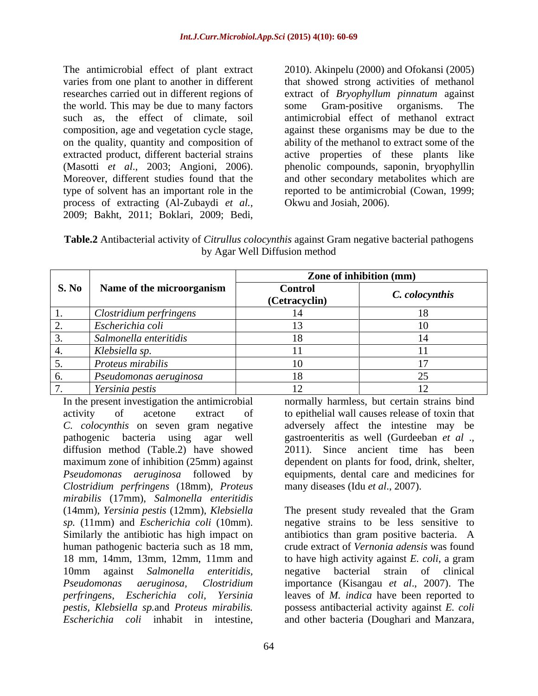The antimicrobial effect of plant extract 2010). Akinpelu (2000) and Ofokansi (2005) the world. This may be due to many factors some Gram-positive organisms. The type of solvent has an important role in the process of extracting (Al-Zubaydi *et al.,* The antimicrobial effect of plant extract 2010). Akinpelu (2000) and Ofokansi (2005) varies from one plant to another in different that showed strong activities of methanol researches carried out in different regions of e

varies from one plant to another in different that showed strong activities of methanol researches carried out in different regions of extract of *Bryophyllum pinnatum* against such as, the effect of climate, soil antimicrobial effect of methanol extract composition, age and vegetation cycle stage, against these organisms may be due to the on the quality, quantity and composition of ability of the methanol to extract some of the extracted product, different bacterial strains active properties of these plants like (Masotti *et al*., 2003; Angioni, 2006). phenolic compounds, saponin, bryophyllin Moreover, different studies found that the and other secondary metabolites which are some Gram-positive organisms. The reported to be antimicrobial (Cowan, 1999; Okwu and Josiah, 2006).

**Table.2** Antibacterial activity of *Citrullus colocynthis* against Gram negative bacterial pathogens by Agar Well Diffusion method

|                                      | Zone of inhibition (mm)         |                |
|--------------------------------------|---------------------------------|----------------|
| S. No   Name of the microorganism    | <b>Control</b><br>(Cetracyclin) | C. colocynthis |
| Clostridium perfringens              |                                 |                |
| Escherichia coli                     |                                 |                |
| Salmonella enteritidis               |                                 |                |
| Klebsiella sp.                       |                                 |                |
| Proteus mirabilis                    |                                 |                |
| $\varepsilon$ Pseudomonas aeruginosa |                                 |                |
| Yersinia pestis                      |                                 |                |

diffusion method (Table.2) have showed *Clostridium perfringens* (18mm), *Proteus mirabilis* (17mm), *Salmonella enteritidis* In the present investigation the antimicrobial normally harmless, but certain strains bind<br>
activity of actone extract of to epithelial wall causes relaes of toxin that<br>  $C$ . *colocynthis* on seven gram regative adversely

In the present investigation the antimicrobial normally harmless, but certain strains bind activity of acetone extract of to epithelial wall causes release of toxin that *C. colocynthis* on seven gram negative adversely affect the intestine may be pathogenic bacteria using agar well gastroenteritis as well (Gurdeeban *et al* ., maximum zone of inhibition (25mm) against dependent on plants for food, drink, shelter, *Pseudomonas aeruginosa* followed by equipments, dental care and medicines for 2011). Since ancient time has been many diseases (Idu *et al*., 2007).

(14mm), *Yersinia pestis* (12mm), *Klebsiella*  The present study revealed that the Gram *sp.* (11mm) and *Escherichia coli* (10mm). negative strains to be less sensitive to Similarly the antibiotic has high impact on antibiotics than gram positive bacteria. A human pathogenic bacteria such as 18 mm, crude extract of *Vernonia adensis* was found 18 mm, 14mm, 13mm, 12mm, 11mm and to have high activity against *E. coli*, a gram 10mm against *Salmonella enteritidis, Pseudomonas aeruginosa, Clostridium* importance (Kisangau *et al*., 2007). The *perfringens, Escherichia coli, Yersinia* leaves of *M. indica* have been reported to *pestis, Klebsiella sp.*and *Proteus mirabilis.*  possess antibacterial activity against *E. coli* negative bacterial strain of clinical and other bacteria (Doughari and Manzara,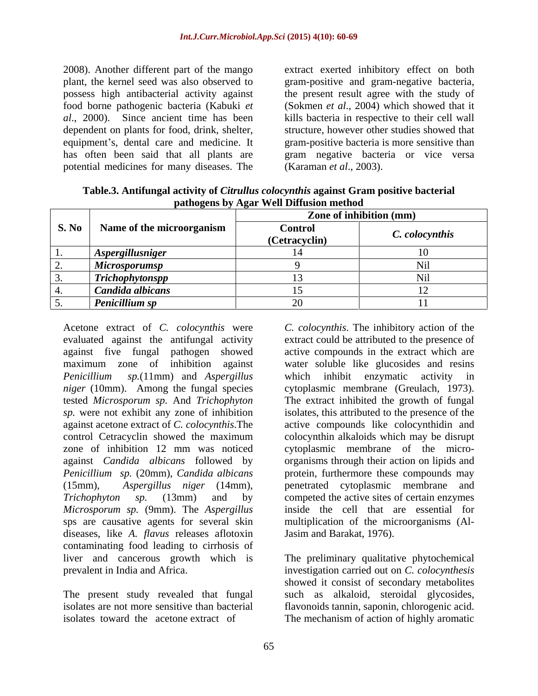dependent on plants for food, drink, shelter, potential medicines for many diseases. The

2008). Another different part of the mango extract exerted inhibitory effect on both plant, the kernel seed was also observed to gram-positive and gram-negative bacteria, possess high antibacterial activity against the present result agree with the study of food borne pathogenic bacteria (Kabuki *et*  (Sokmen *et al*., 2004) which showed that it *al*., 2000). Since ancient time has been kills bacteria in respective to their cell wall equipment's, dental care and medicine. It gram-positive bacteria is more sensitive than has often been said that all plants are gram negative bacteria or vice versa structure, however other studies showed that (Karaman *et al*., 2003).

|       |                           | $\mathbf{r}$                    |                |  |
|-------|---------------------------|---------------------------------|----------------|--|
|       |                           | Zone of inhibition (mm)         |                |  |
| S. No | Name of the microorganism | <b>Control</b><br>(Cetracyclin) | C. colocynthis |  |
|       | Aspergillusniger          |                                 |                |  |
|       | Microsporumsp             |                                 |                |  |
|       | <b>Trichophytonspp</b>    |                                 |                |  |
|       | Candida albicans          |                                 |                |  |
|       | Penicillium sp            |                                 |                |  |

**Table.3. Antifungal activity of** *Citrullus colocynthis* **against Gram positive bacterial pathogens by Agar Well Diffusion method**

against five fungal pathogen showed against *Candida albicans* followed by *Penicillium sp.* (20mm), *Candida albicans Microsporum sp.* (9mm). The *Aspergillus*  diseases, like *A. flavus* releases aflotoxin contaminating food leading to cirrhosis of liver and cancerous growth which is The preliminary qualitative phytochemical

The present study revealed that fungal isolates toward the acetone extract of The mechanism of action of highly aromatic

Acetone extract of *C. colocynthis* were *C. colocynthis*. The inhibitory action of the evaluated against the antifungal activity extract could be attributed to the presence of maximum zone of inhibition against water soluble like glucosides and resins *Penicillium sp.*(11mm) and *Aspergillus niger* (10mm). Among the fungal species cytoplasmic membrane (Greulach, 1973). tested *Microsporum sp.* And *Trichophyton*  The extract inhibited the growth of fungal *sp.* were not exhibit any zone of inhibition isolates, this attributed to the presence of the against acetone extract of *C. colocynthis*.The active compounds like colocynthidin and control Cetracyclin showed the maximum colocynthin alkaloids which may be disrupt zone of inhibition 12 mm was noticed cytoplasmic membrane of the micro- (15mm), *Aspergillus niger* (14mm), penetrated cytoplasmic membrane and *Trichophyton sp.* (13mm) and by competed the active sites of certain enzymes sps are causative agents for several skin multiplication of the microorganisms (Al active compounds in the extract which are which inhibit enzymatic activity in organisms through their action on lipids and protein, furthermore these compounds may inside the cell that are essential for Jasim and Barakat, 1976).

prevalent in India and Africa. investigation carried out on *C. colocynthesis* isolates are not more sensitive than bacterial flavonoids tannin, saponin, chlorogenic acid. showed it consist of secondary metabolites such as alkaloid, steroidal glycosides,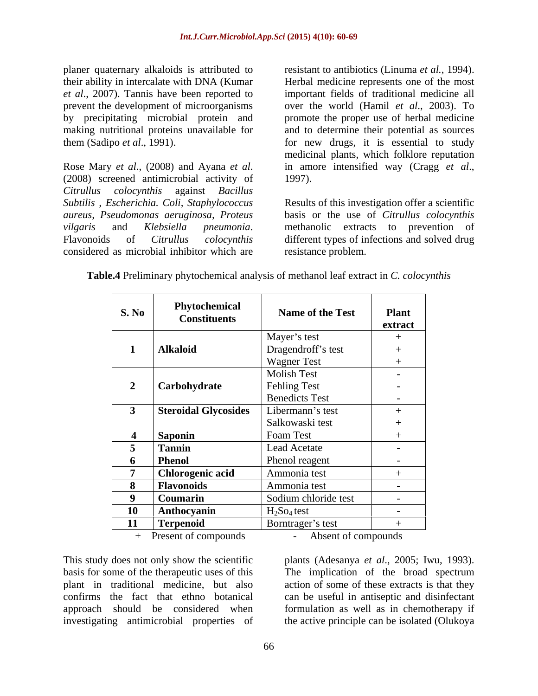*Citrullus colocynthis* against *Bacillus aureus, Pseudomonas aeruginosa, Proteus* considered as microbial inhibitor which are

planer quaternary alkaloids is attributed to resistant to antibiotics (Linuma *et al.*, 1994). their ability in intercalate with DNA (Kumar Herbal medicine represents one of the most *et al*., 2007). Tannis have been reported to important fields of traditional medicine all prevent the development of microorganisms over the world (Hamil *et al*., 2003). To by precipitating microbial protein and promote the proper use of herbal medicine making nutritional proteins unavailable for and to determine their potential as sources them (Sadipo *et al*., 1991). for new drugs, it is essential to study Rose Mary *et al.*, (2008) and Ayana *et al.* in amore intensified way (Cragg *et al.*, (2008) screened antimicrobial activity of 1997). medicinal plants, which folklore reputation in amore intensified way (Cragg *et al*., 1997).

*Subtilis , Escherichia. Coli, Staphylococcus* Results of this investigation offer a scientific *vilgaris* and *Klebsiella pneumonia*. Flavonoids of *Citrullus colocynthis* basis or the use of *Citrullus colocynthis* methanolic extracts to prevention of different types of infections and solved drug resistance problem.

| <b>S. No</b>   | Phytochemical<br><b>Constituents</b> | Name of the Test                    | <b>Plant</b><br>extract  |
|----------------|--------------------------------------|-------------------------------------|--------------------------|
|                |                                      | Mayer's test                        | $^{+}$                   |
|                | <b>Alkaloid</b>                      | Dragendroff's test                  | $+$                      |
|                |                                      | <b>Wagner Test</b>                  |                          |
|                |                                      | <b>Molish Test</b>                  | $\sim$                   |
|                | Carbohydrate                         | <b>Fehling Test</b>                 | $\overline{\phantom{a}}$ |
|                |                                      | <b>Benedicts Test</b>               | $\sim$                   |
|                | <b>Steroidal Glycosides</b>          | Libermann's test                    |                          |
|                |                                      | Salkowaski test                     |                          |
| $\overline{4}$ | <b>Saponin</b>                       | Foam Test                           |                          |
| $\overline{5}$ | <b>Tannin</b>                        | Lead Acetate                        | $\overline{\phantom{0}}$ |
|                | <b>Phenol</b>                        | Phenol reagent                      | $\sim$                   |
|                | <b>Chlorogenic acid</b>              | Ammonia test                        |                          |
| 8              | <b>Flavonoids</b>                    | Ammonia test                        | $\sim$                   |
|                | Coumarin                             | Sodium chloride test                | $\overline{\phantom{0}}$ |
| 10             | Anthocyanin                          | H <sub>2</sub> So <sub>4</sub> test | $\sim$                   |
| 11             | <b>Terpenoid</b>                     | Borntrager's test                   |                          |

**Table.4** Preliminary phytochemical analysis of methanol leaf extract in *C. colocynthis*

+ Present of compounds - Absent of compounds

This study does not only show the scientific plants (Adesanya *et al*., 2005; Iwu, 1993). basis for some of the therapeutic uses of this The implication of the broad spectrum plant in traditional medicine, but also action of some of these extracts is that they confirms the fact that ethno botanical can be useful in antiseptic and disinfectant approach should be considered when formulation as well as in chemotherapy if investigating antimicrobial properties of the active principle can be isolated (Olukoya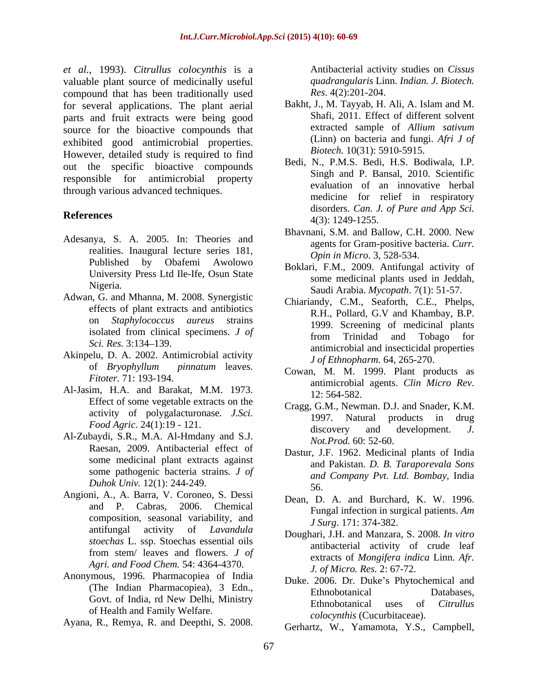*et al.*, 1993). *Citrullus colocynthis* is a valuable plant source of medicinally useful compound that has been traditionally used for several applications. The plant aerial parts and fruit extracts were being good<br>source for the bioactive compounds that extracted sample of Allium sativum source for the bioactive compounds that exhibited good antimicrobial properties. However, detailed study is required to find out the specific bioactive compounds responsible for antimicrobial property through various advanced techniques.  $\alpha$ , Remeation of the control is a simulated principal activity studies on  $\alpha$  on  $\alpha$  of  $\alpha$  on  $\alpha$  of  $\alpha$  on  $\alpha$  of  $\alpha$  on  $\alpha$  of  $\alpha$  on  $\alpha$  of  $\alpha$  on  $\alpha$  of  $\alpha$  on  $\alpha$  of  $\alpha$  on  $\alpha$  of  $\alpha$  on  $\alpha$  of

- Adesanya, S. A. 2005. In: Theories and realities. Inaugural lecture series 181, Published by Obafemi Awolowo<br>
Boklari, F.M., 2009. Antifungal activity of University Press Ltd Ile-Ife, Osun State
- Adwan, G. and Mhanna, M. 2008. Synergistic effects of plant extracts and antibiotics
- Akinpelu, D. A. 2002. Antimicrobial activity of *Bryophyllum pinnatum* leaves.
- Al-Jasim, H.A. and Barakat, M.M. 1973. **12:564-582**. Effect of some vegetable extracts on the activity of polygalacturonase*. J.Sci.*
- Al-Zubaydi, S.R., M.A. Al-Hmdany and S.J. Raesan, 2009. Antibacterial effect of some medicinal plant extracts against some pathogenic bacteria strains*. J of Duhok Univ.* 12(1): 244-249. 56.
- Angioni, A., A. Barra, V. Coroneo, S. Dessi and P. Cabras, 2006. Chemical composition, seasonal variability, and antifungal activity of *Lavandula stoechas* L. ssp. Stoechas essential oils from stem/ leaves and flowers. *J of Agri. and Food Chem.* 54: 4364-4370.
- Anonymous, 1996. Pharmacopiea of India of Health and Family Welfare.
- 

*quadrangularis* Linn. *Indian. J. Biotech. Res*. 4(2):201-204.

- Bakht, J., M. Tayyab, H. Ali, A. Islam and M. Shafi, 2011. Effect of different solvent extracted sample of *Allium sativum* (Linn) on bacteria and fungi. *Afri J of Biotech.* 10(31): 5910-5915.
- **References** and the distribution of the distribution of the distribution of the distribution of the distribution of the distribution of the distribution of the distribution of the distribution of the distribution of the d Bedi, N., P.M.S. Bedi, H.S. Bodiwala, I.P. Singh and P. Bansal, 2010. Scientific evaluation of an innovative herbal medicine for relief in respiratory disorders. *Can. J. of Pure and App Sci.* 4(3): 1249-1255.
	- Bhavnani, S.M. and Ballow, C.H. 2000. New agents for Gram-positive bacteria. *Curr. Opin in Micro*. 3, 528-534.
	- Nigeria. Saudi Arabia. *Mycopath*. 7(1): 51-57. some medicinal plants used in Jeddah,
	- on *Staphylococcus aureus* strains 1999. Screening of medicinal plants isolated from clinical specimens. *J of* from Trinidad and Tobago for *Sci. Res.* 3:134 139. antimicrobial and insecticidal properties Chiariandy, C.M., Seaforth, C.E., Phelps, R.H., Pollard, G.V and Khambay, B.P. from Trinidad and Tobago for *J of Ethnopharm.* 64, 265-270.
	- *Fitoter.* 71: 193-194. *Fitoter.* 71: 193-194. *PHOTERS PHOTERS PHOTERS PHOTERS PHOTERS PHOTERS PHOTERS PHOTERS PHOTERS PHOTERS PHOTERS PHOTERS PHOTERS PHOTERS PH* Cowan, M. M. 1999. Plant products as antimicrobial agents. *Clin Micro Rev*. 12: 564-582.
	- *Food Agric*. 24(1):19 121. **Example 1221. Example 1221. Considering the discovery** and development. J. Cragg, G.M., Newman. D.J. and Snader, K.M. 1997. Natural products in drug discovery and development. *J. Not.Prod.* 60: 52-60.
		- Dastur, J.F. 1962. Medicinal plants of India and Pakistan. *D. B. Taraporevala Sons and Company Pvt. Ltd. Bombay*, India 56.
		- Dean, D. A. and Burchard, K. W. 1996. Fungal infection in surgical patients. *Am J Surg*. 171: 374-382.
		- Doughari, J.H. and Manzara, S. 2008*. In vitro* antibacterial activity of crude leaf extracts of *Mongifera indica* Linn. *Afr. J. of Micro. Res.* 2: 67-72.
	- (The Indian Pharmacopiea), 3 Edn., Govt. of India, rd New Delhi, Ministry<br>Ethnobotanical uses of *Citrullus* Duke. 2006. Dr. Duke's Phytochemical and Ethnobotanical Databases, Ethnobotanical uses of *Citrullus colocynthis* (Cucurbitaceae).
		- Gerhartz, W., Yamamota, Y.S., Campbell,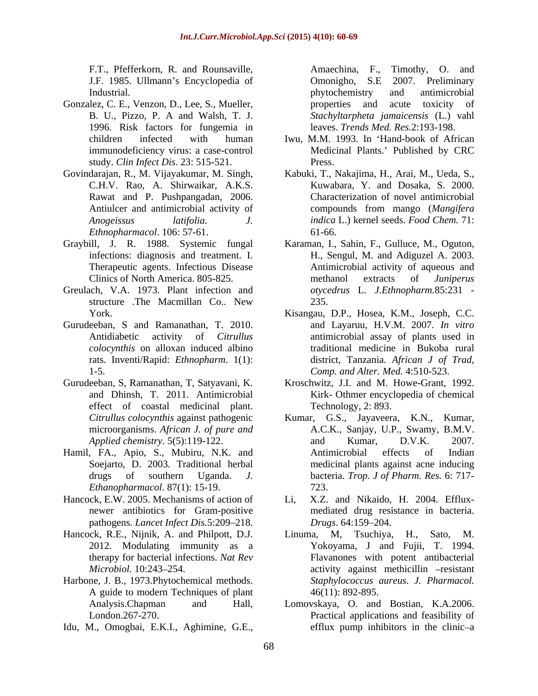J.F. 1985. Ullmann's Encyclopedia of Chronicho, S.E. 2007. Preliminary Industrial. The intervention of the extent of the phytochemistry and antimicrobial

- Gonzalez, C. E., Venzon, D., Lee, S., Mueller, exercise and acute toxicity of 1996. Risk factors for fungemia in study. *Clin Infect Dis.* 23: 515-521.
- Rawat and P. Pushpangadan, 2006. *Ethnopharmacol*. 106: 57-61.
- Graybill, J. R. 1988. Systemic fungal
- Greulach, V.A. 1973. Plant infection and structure .The Macmillan Co.. New
- Gurudeeban, S and Ramanathan, T. 2010. rats. Inventi/Rapid: *Ethnopharm*. 1(1):
- effect of coastal medicinal plant.
- *Ethanopharmacol*. 87(1): 15-19.
- Hancock, E.W. 2005. Mechanisms of action of pathogens. *Lancet Infect Dis.*5:209–218. *Drugs.* 64:159–204.
- 
- Harbone, J. B., 1973.Phytochemical methods. A guide to modern Techniques of plant
- 

F.T., Pfefferkorn, R. and Rounsaville, Amaechina, F., Timothy, O. and B. U., Pizzo, P. A and Walsh, T. J. *Stachyltarpheta jamaicensis* (L.) vahl Omonigho, S.E 2007. Preliminary phytochemistry and antimicrobial properties and acute toxicity of leaves. *Trends Med. Res.*2:193-198.

- children infected with human Iwu, M.M. 1993. In Hand-book of African immunodeficiency virus: a case-control Medicinal Plants.' Published by CRC Press.
- Govindarajan, R., M. Vijayakumar, M. Singh, Kabuki, T., Nakajima, H., Arai, M., Ueda, S., C.H.V. Rao, A. Shirwaikar, A.K.S. Kuwabara, Y. and Dosaka, S. 2000. Antiulcer and antimicrobial activity of compounds from mango (Mangifera *Anogeissus latifolia. J. indica* L.) kernel seeds. *Food Chem.* 71: Characterization of novel antimicrobial compounds from mango (*Mangifera*  61-66.
	- infections: diagnosis and treatment. I. H., Sengul, M. and Adiguzel A. 2003. Therapeutic agents. Infectious Disease Antimicrobial activity of aqueous and Clinics of North America. 805-825. Karaman, I., Sahin, F., Gulluce, M., Oguton, methanol extracts of *Juniperus otycedrus* L. *J.Ethnopharm.*85:231 - 235.
	- York. Kisangau, D.P., Hosea, K.M., Joseph, C.C. Antidiabetic activity of *Citrullus*  antimicrobial assay of plants used in *colocynthis* on alloxan induced albino traditional medicine in Bukoba rural 1-5. *Comp. and Alter. Med.* 4:510-523. and Layaruu, H.V.M. 2007. *In vitro* district, Tanzania. *African J of Trad,*
- Gurudeeban, S, Ramanathan, T, Satyavani, K. Kroschwitz, J.I. and M. Howe-Grant, 1992. and Dhinsh, T. 2011. Antimicrobial Kirk- Othmer encyclopedia of chemical Technology, 2: 893.
- *Citrullus colocynthis* against pathogenic Kumar, G.S., Jayaveera, K.N., Kumar, microorganisms. *African J. of pure and* A.C.K., Sanjay, U.P., Swamy, B.M.V. *Applied chemistry*. 5(5):119-122. Hamil, FA., Apio, S., Mubiru, N.K. and Soejarto, D. 2003. Traditional herbal medicinal plants against acne inducing drugs of southern Uganda. *J.*  bacteria. *Trop. J of Pharm. Res.* 6: 717- F.T., Perfections, Lage Rossenburge (Marchina, F. Timothy, O. and Rossenburge and anti-scenarional of Gaussian B. Street, N. Street, N. Street, N. Street, N. Street, N. Street, N. Street, N. Street, N. Street, Transitiona and Kumar, D.V.K. 2007. Antimicrobial effects of Indian 723.
	- newer antibiotics for Gram-positive mediated drug resistance in bacteria. X.Z. and Nikaido, H. 2004. Efflux-*Drugs*. 64:159–204.
- Hancock, R.E., Nijnik, A. and Philpott, D.J. Linuma, M. Tsuchiya, H., Sato, M. 2012. Modulating immunity as a Yokoyama, J and Fujii, T. 1994. therapy for bacterial infections. *Nat Rev* Flavanones with potent antibacterial *Microbiol.* 10:243–254. The activity against methicillin -resistant M, Tsuchiya, H., Sato, *Staphylococcus aureus*. *J. Pharmacol.* 46(11): 892-895.
	- Analysis.Chapman and Hall, Lomovskaya, O. and Bostian, K.A.2006. London.267-270. Practical applications and feasibility of efflux pump inhibitors in the clinic-a